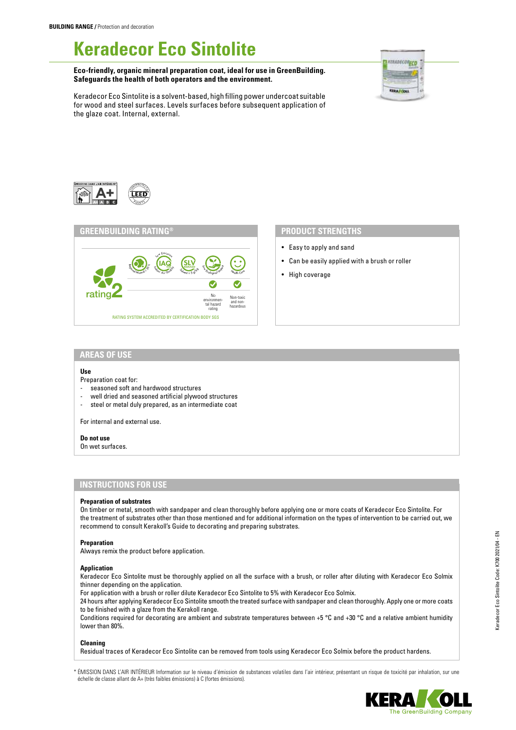# **Keradecor Eco Sintolite**

**Eco-friendly, organic mineral preparation coat, ideal for use in GreenBuilding. Safeguards the health of both operators and the environment.**



Keradecor Eco Sintolite is a solvent-based, high filling power undercoat suitable for wood and steel surfaces. Levels surfaces before subsequent application of the glaze coat. Internal, external.





- Easy to apply and sand
- Can be easily applied with a brush or roller
- High coverage

## **AREAS OF USE**

#### **Use**

Preparation coat for:

- seasoned soft and hardwood structures
- well dried and seasoned artificial plywood structures
- steel or metal duly prepared, as an intermediate coat

For internal and external use.

### **Do not use**

On wet surfaces.

# **INSTRUCTIONS FOR USE**

#### **Preparation of substrates**

On timber or metal, smooth with sandpaper and clean thoroughly before applying one or more coats of Keradecor Eco Sintolite. For the treatment of substrates other than those mentioned and for additional information on the types of intervention to be carried out, we recommend to consult Kerakoll's Guide to decorating and preparing substrates.

#### **Preparation**

Always remix the product before application.

#### **Application**

Keradecor Eco Sintolite must be thoroughly applied on all the surface with a brush, or roller after diluting with Keradecor Eco Solmix thinner depending on the application.

For application with a brush or roller dilute Keradecor Eco Sintolite to 5% with Keradecor Eco Solmix.

24 hours after applying Keradecor Eco Sintolite smooth the treated surface with sandpaper and clean thoroughly. Apply one or more coats to be finished with a glaze from the Kerakoll range.

Conditions required for decorating are ambient and substrate temperatures between +5 °C and +30 °C and a relative ambient humidity lower than 80%.

#### **Cleaning**

Residual traces of Keradecor Eco Sintolite can be removed from tools using Keradecor Eco Solmix before the product hardens.

\* ÉMISSION DANS L'AIR INTÉRIEUR Information sur le niveau d'émission de substances volatiles dans l'air intérieur, présentant un risque de toxicité par inhalation, sur une échelle de classe allant de A+ (très faibles émissions) à C (fortes émissions).